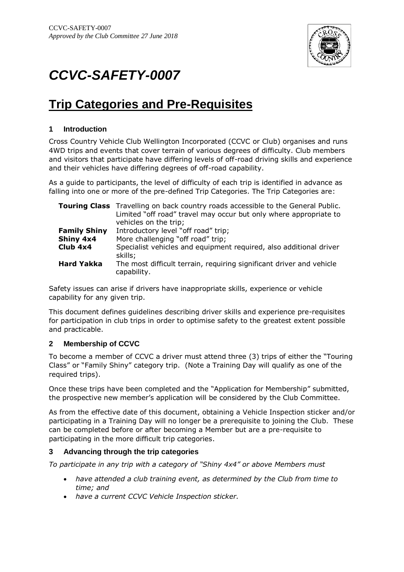

# *CCVC-SAFETY-0007*

# **Trip Categories and Pre-Requisites**

## **1 Introduction**

Cross Country Vehicle Club Wellington Incorporated (CCVC or Club) organises and runs 4WD trips and events that cover terrain of various degrees of difficulty. Club members and visitors that participate have differing levels of off-road driving skills and experience and their vehicles have differing degrees of off-road capability.

As a guide to participants, the level of difficulty of each trip is identified in advance as falling into one or more of the pre-defined Trip Categories. The Trip Categories are:

|                     | <b>Touring Class</b> Travelling on back country roads accessible to the General Public.<br>Limited "off road" travel may occur but only where appropriate to<br>vehicles on the trip; |
|---------------------|---------------------------------------------------------------------------------------------------------------------------------------------------------------------------------------|
| <b>Family Shiny</b> | Introductory level "off road" trip;                                                                                                                                                   |
| Shiny 4x4           | More challenging "off road" trip;                                                                                                                                                     |
| Club 4x4            | Specialist vehicles and equipment required, also additional driver<br>skills;                                                                                                         |
| <b>Hard Yakka</b>   | The most difficult terrain, requiring significant driver and vehicle<br>capability.                                                                                                   |

Safety issues can arise if drivers have inappropriate skills, experience or vehicle capability for any given trip.

This document defines guidelines describing driver skills and experience pre-requisites for participation in club trips in order to optimise safety to the greatest extent possible and practicable.

## **2 Membership of CCVC**

To become a member of CCVC a driver must attend three (3) trips of either the "Touring Class" or "Family Shiny" category trip. (Note a Training Day will qualify as one of the required trips).

Once these trips have been completed and the "Application for Membership" submitted, the prospective new member's application will be considered by the Club Committee.

As from the effective date of this document, obtaining a Vehicle Inspection sticker and/or participating in a Training Day will no longer be a prerequisite to joining the Club. These can be completed before or after becoming a Member but are a pre-requisite to participating in the more difficult trip categories.

#### **3 Advancing through the trip categories**

*To participate in any trip with a category of "Shiny 4x4" or above Members must*

- *have attended a club training event, as determined by the Club from time to time; and*
- *have a current CCVC Vehicle Inspection sticker.*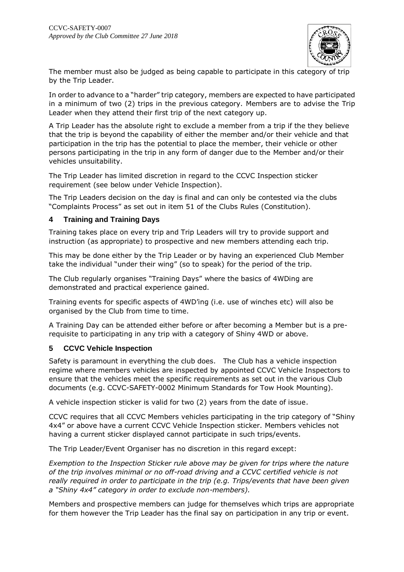

The member must also be judged as being capable to participate in this category of trip by the Trip Leader.

In order to advance to a "harder" trip category, members are expected to have participated in a minimum of two (2) trips in the previous category. Members are to advise the Trip Leader when they attend their first trip of the next category up.

A Trip Leader has the absolute right to exclude a member from a trip if the they believe that the trip is beyond the capability of either the member and/or their vehicle and that participation in the trip has the potential to place the member, their vehicle or other persons participating in the trip in any form of danger due to the Member and/or their vehicles unsuitability.

The Trip Leader has limited discretion in regard to the CCVC Inspection sticker requirement (see below under Vehicle Inspection).

The Trip Leaders decision on the day is final and can only be contested via the clubs "Complaints Process" as set out in item 51 of the Clubs Rules (Constitution).

#### **4 Training and Training Days**

Training takes place on every trip and Trip Leaders will try to provide support and instruction (as appropriate) to prospective and new members attending each trip.

This may be done either by the Trip Leader or by having an experienced Club Member take the individual "under their wing" (so to speak) for the period of the trip.

The Club regularly organises "Training Days" where the basics of 4WDing are demonstrated and practical experience gained.

Training events for specific aspects of 4WD'ing (i.e. use of winches etc) will also be organised by the Club from time to time.

A Training Day can be attended either before or after becoming a Member but is a prerequisite to participating in any trip with a category of Shiny 4WD or above.

#### **5 CCVC Vehicle Inspection**

Safety is paramount in everything the club does. The Club has a vehicle inspection regime where members vehicles are inspected by appointed CCVC Vehicle Inspectors to ensure that the vehicles meet the specific requirements as set out in the various Club documents (e.g. CCVC-SAFETY-0002 Minimum Standards for Tow Hook Mounting).

A vehicle inspection sticker is valid for two (2) years from the date of issue.

CCVC requires that all CCVC Members vehicles participating in the trip category of "Shiny 4x4" or above have a current CCVC Vehicle Inspection sticker. Members vehicles not having a current sticker displayed cannot participate in such trips/events.

The Trip Leader/Event Organiser has no discretion in this regard except:

*Exemption to the Inspection Sticker rule above may be given for trips where the nature of the trip involves minimal or no off-road driving and a CCVC certified vehicle is not really required in order to participate in the trip (e.g. Trips/events that have been given a "Shiny 4x4" category in order to exclude non-members).*

Members and prospective members can judge for themselves which trips are appropriate for them however the Trip Leader has the final say on participation in any trip or event.